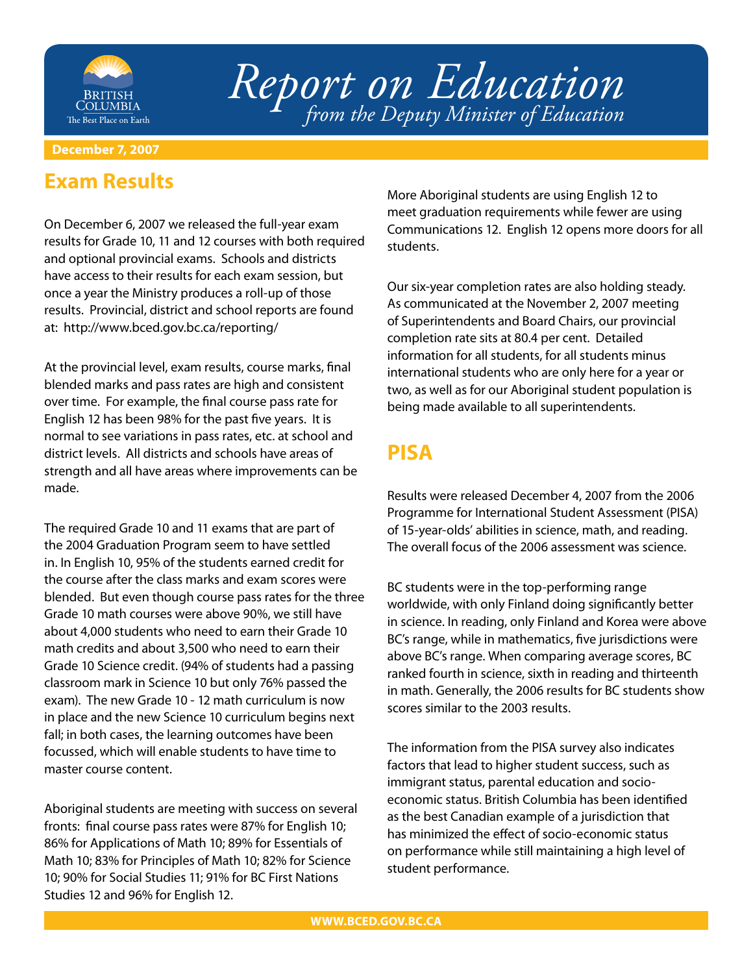

# *Report on Education from the Deputy Minister of Education*

#### **December 7, 2007**

#### **Exam Results**

On December 6, 2007 we released the full-year exam results for Grade 10, 11 and 12 courses with both required and optional provincial exams. Schools and districts have access to their results for each exam session, but once a year the Ministry produces a roll-up of those results. Provincial, district and school reports are found at: http://www.bced.gov.bc.ca/reporting/

At the provincial level, exam results, course marks, final blended marks and pass rates are high and consistent over time. For example, the final course pass rate for English 12 has been 98% for the past five years. It is normal to see variations in pass rates, etc. at school and district levels. All districts and schools have areas of strength and all have areas where improvements can be made.

The required Grade 10 and 11 exams that are part of the 2004 Graduation Program seem to have settled in. In English 10, 95% of the students earned credit for the course after the class marks and exam scores were blended. But even though course pass rates for the three Grade 10 math courses were above 90%, we still have about 4,000 students who need to earn their Grade 10 math credits and about 3,500 who need to earn their Grade 10 Science credit. (94% of students had a passing classroom mark in Science 10 but only 76% passed the exam). The new Grade 10 - 12 math curriculum is now in place and the new Science 10 curriculum begins next fall; in both cases, the learning outcomes have been focussed, which will enable students to have time to master course content.

Aboriginal students are meeting with success on several fronts: final course pass rates were 87% for English 10; 86% for Applications of Math 10; 89% for Essentials of Math 10; 83% for Principles of Math 10; 82% for Science 10; 90% for Social Studies 11; 91% for BC First Nations Studies 12 and 96% for English 12.

More Aboriginal students are using English 12 to meet graduation requirements while fewer are using Communications 12. English 12 opens more doors for all students.

Our six-year completion rates are also holding steady. As communicated at the November 2, 2007 meeting of Superintendents and Board Chairs, our provincial completion rate sits at 80.4 per cent. Detailed information for all students, for all students minus international students who are only here for a year or two, as well as for our Aboriginal student population is being made available to all superintendents.

# **PISA**

Results were released December 4, 2007 from the 2006 Programme for International Student Assessment (PISA) of 15-year-olds' abilities in science, math, and reading. The overall focus of the 2006 assessment was science.

BC students were in the top-performing range worldwide, with only Finland doing significantly better in science. In reading, only Finland and Korea were above BC's range, while in mathematics, five jurisdictions were above BC's range. When comparing average scores, BC ranked fourth in science, sixth in reading and thirteenth in math. Generally, the 2006 results for BC students show scores similar to the 2003 results.

The information from the PISA survey also indicates factors that lead to higher student success, such as immigrant status, parental education and socioeconomic status. British Columbia has been identified as the best Canadian example of a jurisdiction that has minimized the effect of socio-economic status on performance while still maintaining a high level of student performance.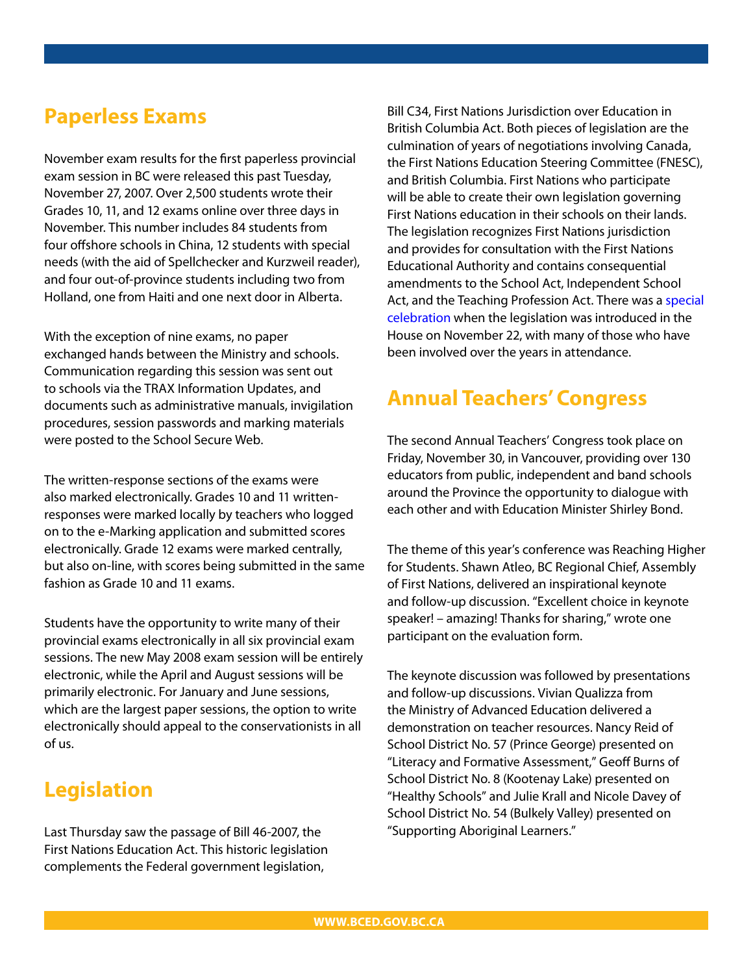### **Paperless Exams**

November exam results for the first paperless provincial exam session in BC were released this past Tuesday, November 27, 2007. Over 2,500 students wrote their Grades 10, 11, and 12 exams online over three days in November. This number includes 84 students from four offshore schools in China, 12 students with special needs (with the aid of Spellchecker and Kurzweil reader), and four out-of-province students including two from Holland, one from Haiti and one next door in Alberta.

With the exception of nine exams, no paper exchanged hands between the Ministry and schools. Communication regarding this session was sent out to schools via the TRAX Information Updates, and documents such as administrative manuals, invigilation procedures, session passwords and marking materials were posted to the School Secure Web.

The written-response sections of the exams were also marked electronically. Grades 10 and 11 writtenresponses were marked locally by teachers who logged on to the e-Marking application and submitted scores electronically. Grade 12 exams were marked centrally, but also on-line, with scores being submitted in the same fashion as Grade 10 and 11 exams.

Students have the opportunity to write many of their provincial exams electronically in all six provincial exam sessions. The new May 2008 exam session will be entirely electronic, while the April and August sessions will be primarily electronic. For January and June sessions, which are the largest paper sessions, the option to write electronically should appeal to the conservationists in all of us.

### **Legislation**

Last Thursday saw the passage of Bill 46-2007, the First Nations Education Act. This historic legislation complements the Federal government legislation,

Bill C34, First Nations Jurisdiction over Education in British Columbia Act. Both pieces of legislation are the culmination of years of negotiations involving Canada, the First Nations Education Steering Committee (FNESC), and British Columbia. First Nations who participate will be able to create their own legislation governing First Nations education in their schools on their lands. The legislation recognizes First Nations jurisdiction and provides for consultation with the First Nations Educational Authority and contains consequential amendments to the School Act, Independent School [Act, and the Teaching Profession Act. There was a special](http://www.bced.gov.bc.ca/news/photos/events/sbond/2007/fnesc/)  celebration when the legislation was introduced in the House on November 22, with many of those who have been involved over the years in attendance.

## **Annual Teachers' Congress**

The second Annual Teachers' Congress took place on Friday, November 30, in Vancouver, providing over 130 educators from public, independent and band schools around the Province the opportunity to dialogue with each other and with Education Minister Shirley Bond.

The theme of this year's conference was Reaching Higher for Students. Shawn Atleo, BC Regional Chief, Assembly of First Nations, delivered an inspirational keynote and follow-up discussion. "Excellent choice in keynote speaker! – amazing! Thanks for sharing," wrote one participant on the evaluation form.

The keynote discussion was followed by presentations and follow-up discussions. Vivian Qualizza from the Ministry of Advanced Education delivered a demonstration on teacher resources. Nancy Reid of School District No. 57 (Prince George) presented on "Literacy and Formative Assessment," Geoff Burns of School District No. 8 (Kootenay Lake) presented on "Healthy Schools" and Julie Krall and Nicole Davey of School District No. 54 (Bulkely Valley) presented on "Supporting Aboriginal Learners."